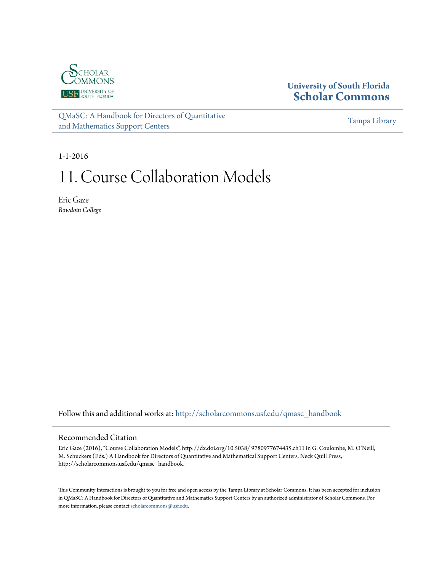

# **University of South Florida [Scholar Commons](http://scholarcommons.usf.edu?utm_source=scholarcommons.usf.edu%2Fqmasc_handbook%2F11&utm_medium=PDF&utm_campaign=PDFCoverPages)**

[QMaSC: A Handbook for Directors of Quantitative](http://scholarcommons.usf.edu/qmasc_handbook?utm_source=scholarcommons.usf.edu%2Fqmasc_handbook%2F11&utm_medium=PDF&utm_campaign=PDFCoverPages) [and Mathematics Support Centers](http://scholarcommons.usf.edu/qmasc_handbook?utm_source=scholarcommons.usf.edu%2Fqmasc_handbook%2F11&utm_medium=PDF&utm_campaign=PDFCoverPages)

[Tampa Library](http://scholarcommons.usf.edu/tlib?utm_source=scholarcommons.usf.edu%2Fqmasc_handbook%2F11&utm_medium=PDF&utm_campaign=PDFCoverPages)

1-1-2016

# 11. Course Collaboration Models

Eric Gaze *Bowdoin College*

Follow this and additional works at: [http://scholarcommons.usf.edu/qmasc\\_handbook](http://scholarcommons.usf.edu/qmasc_handbook?utm_source=scholarcommons.usf.edu%2Fqmasc_handbook%2F11&utm_medium=PDF&utm_campaign=PDFCoverPages)

#### Recommended Citation

Eric Gaze (2016), "Course Collaboration Models", http://dx.doi.org/10.5038/ 9780977674435.ch11 in G. Coulombe, M. O'Neill, M. Schuckers (Eds.) A Handbook for Directors of Quantitative and Mathematical Support Centers, Neck Quill Press, http://scholarcommons.usf.edu/qmasc\_handbook.

This Community Interactions is brought to you for free and open access by the Tampa Library at Scholar Commons. It has been accepted for inclusion in QMaSC: A Handbook for Directors of Quantitative and Mathematics Support Centers by an authorized administrator of Scholar Commons. For more information, please contact [scholarcommons@usf.edu](mailto:scholarcommons@usf.edu).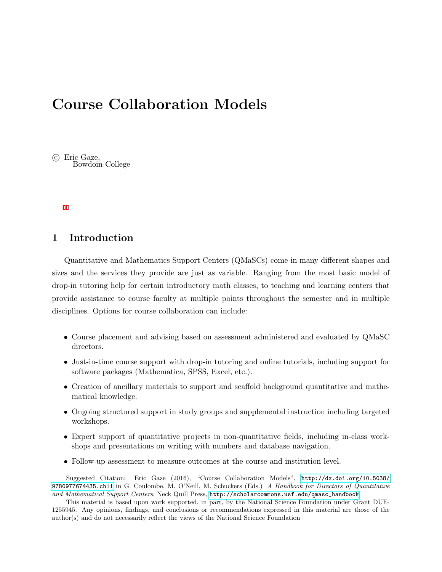# Course Collaboration Models

 $\odot$  Eric Gaze, Bowdoin College

# 1 Introduction

Quantitative and Mathematics Support Centers (QMaSCs) come in many different shapes and sizes and the services they provide are just as variable. Ranging from the most basic model of drop-in tutoring help for certain introductory math classes, to teaching and learning centers that provide assistance to course faculty at multiple points throughout the semester and in multiple disciplines. Options for course collaboration can include:

- Course placement and advising based on assessment administered and evaluated by QMaSC directors.
- Just-in-time course support with drop-in tutoring and online tutorials, including support for software packages (Mathematica, SPSS, Excel, etc.).
- Creation of ancillary materials to support and scaffold background quantitative and mathematical knowledge.
- Ongoing structured support in study groups and supplemental instruction including targeted workshops.
- Expert support of quantitative projects in non-quantitative fields, including in-class workshops and presentations on writing with numbers and database navigation.
- Follow-up assessment to measure outcomes at the course and institution level.

Suggested Citation: Eric Gaze (2016), "Course Collaboration Models", [http://dx.doi.org/10.5038/](http://dx.doi.org/10.5038/9780977674435.ch11) [9780977674435.ch11](http://dx.doi.org/10.5038/9780977674435.ch11) in G. Coulombe, M. O'Neill, M. Schuckers (Eds.) A Handbook for Directors of Quantitative and Mathematical Support Centers, Neck Quill Press, [http://scholarcommons.usf.edu/qmasc\\_handbook](http://scholarcommons.usf.edu/qmasc_handbook).

This material is based upon work supported, in part, by the National Science Foundation under Grant DUE-1255945. Any opinions, findings, and conclusions or recommendations expressed in this material are those of the author(s) and do not necessarily reflect the views of the National Science Foundation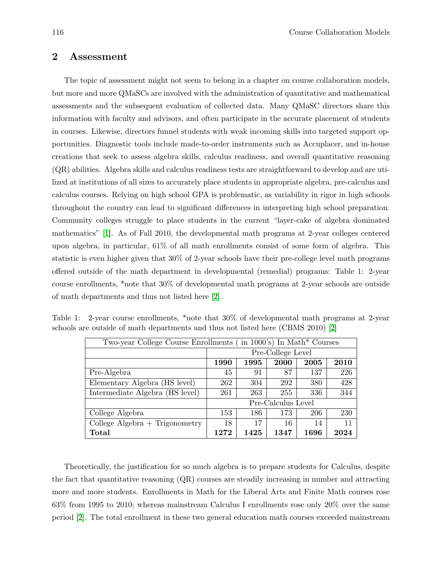# 2 Assessment

The topic of assessment might not seem to belong in a chapter on course collaboration models, but more and more QMaSCs are involved with the administration of quantitative and mathematical assessments and the subsequent evaluation of collected data. Many QMaSC directors share this information with faculty and advisors, and often participate in the accurate placement of students in courses. Likewise, directors funnel students with weak incoming skills into targeted support opportunities. Diagnostic tools include made-to-order instruments such as Accuplacer, and in-house creations that seek to assess algebra skills, calculus readiness, and overall quantitative reasoning (QR) abilities. Algebra skills and calculus readiness tests are straightforward to develop and are utilized at institutions of all sizes to accurately place students in appropriate algebra, pre-calculus and calculus courses. Relying on high school GPA is problematic, as variability in rigor in high schools throughout the country can lead to significant differences in interpreting high school preparation. Community colleges struggle to place students in the current "layer-cake of algebra dominated mathematics" [1]. As of Fall 2010, the developmental math programs at 2-year colleges centered upon algebra, in particular, 61% of all math enrollments consist of some form of algebra. This statistic is even higher given that 30% of 2-year schools have their pre-college level math programs offered outside of the math department in developmental (remedial) programs: Table 1: 2-year course enrollments, \*note that 30% of developmental math programs at 2-year schools are outside of math departments and thus not listed here [2].

| Two-year College Course Enrollments (in 1000's) In Math* Courses |                    |      |      |      |      |  |  |  |
|------------------------------------------------------------------|--------------------|------|------|------|------|--|--|--|
|                                                                  | Pre-College Level  |      |      |      |      |  |  |  |
|                                                                  | 1990               | 1995 | 2000 | 2005 | 2010 |  |  |  |
| Pre-Algebra                                                      | 45                 | 91   | 87   | 137  | 226  |  |  |  |
| Elementary Algebra (HS level)                                    | 262                | 304  | 292  | 380  | 428  |  |  |  |
| Intermediate Algebra (HS level)                                  | 261                | 263  | 255  | 336  | 344  |  |  |  |
|                                                                  | Pre-Calculus Level |      |      |      |      |  |  |  |
| College Algebra                                                  | 153                | 186  | 173  | 206  | 230  |  |  |  |
| College Algebra $+$ Trigonometry                                 | 18                 | 17   | 16   | 14   | 11   |  |  |  |
| Total                                                            | 1272               | 1425 | 1347 | 1696 | 2024 |  |  |  |

Table 1: 2-year course enrollments, \*note that 30% of developmental math programs at 2-year schools are outside of math departments and thus not listed here (CBMS 2010) [2]

Theoretically, the justification for so much algebra is to prepare students for Calculus, despite the fact that quantitative reasoning (QR) courses are steadily increasing in number and attracting more and more students. Enrollments in Math for the Liberal Arts and Finite Math courses rose 63% from 1995 to 2010; whereas mainstream Calculus I enrollments rose only 20% over the same period [2]. The total enrollment in these two general education math courses exceeded mainstream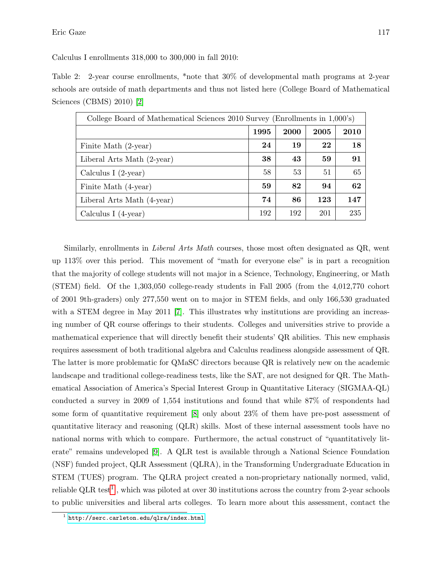Calculus I enrollments 318,000 to 300,000 in fall 2010:

Table 2: 2-year course enrollments, \*note that 30% of developmental math programs at 2-year schools are outside of math departments and thus not listed here (College Board of Mathematical Sciences (CBMS) 2010) [2]

| College Board of Mathematical Sciences 2010 Survey (Enrollments in 1,000's) |      |      |      |      |  |  |  |
|-----------------------------------------------------------------------------|------|------|------|------|--|--|--|
|                                                                             | 1995 | 2000 | 2005 | 2010 |  |  |  |
| Finite Math (2-year)                                                        | 24   | 19   | 22   | 18   |  |  |  |
| Liberal Arts Math (2-year)                                                  | 38   | 43   | 59   | 91   |  |  |  |
| Calculus I $(2-year)$                                                       | 58   | 53   | 51   | 65   |  |  |  |
| Finite Math (4-year)                                                        | 59   | 82   | 94   | 62   |  |  |  |
| Liberal Arts Math (4-year)                                                  | 74   | 86   | 123  | 147  |  |  |  |
| Calculus I $(4$ -year)                                                      | 192  | 192  | 201  | 235  |  |  |  |

Similarly, enrollments in Liberal Arts Math courses, those most often designated as QR, went up 113% over this period. This movement of "math for everyone else" is in part a recognition that the majority of college students will not major in a Science, Technology, Engineering, or Math (STEM) field. Of the 1,303,050 college-ready students in Fall 2005 (from the 4,012,770 cohort of 2001 9th-graders) only 277,550 went on to major in STEM fields, and only 166,530 graduated with a STEM degree in May 2011 [7]. This illustrates why institutions are providing an increasing number of QR course offerings to their students. Colleges and universities strive to provide a mathematical experience that will directly benefit their students' QR abilities. This new emphasis requires assessment of both traditional algebra and Calculus readiness alongside assessment of QR. The latter is more problematic for QMaSC directors because QR is relatively new on the academic landscape and traditional college-readiness tests, like the SAT, are not designed for QR. The Mathematical Association of America's Special Interest Group in Quantitative Literacy (SIGMAA-QL) conducted a survey in 2009 of 1,554 institutions and found that while 87% of respondents had some form of quantitative requirement [8] only about 23% of them have pre-post assessment of quantitative literacy and reasoning (QLR) skills. Most of these internal assessment tools have no national norms with which to compare. Furthermore, the actual construct of "quantitatively literate" remains undeveloped [9]. A QLR test is available through a National Science Foundation (NSF) funded project, QLR Assessment (QLRA), in the Transforming Undergraduate Education in STEM (TUES) program. The QLRA project created a non-proprietary nationally normed, valid, reliable QLR test<sup>1</sup>, which was piloted at over 30 institutions across the country from 2-year schools to public universities and liberal arts colleges. To learn more about this assessment, contact the

 $^{\rm 1}$  <http://serc.carleton.edu/qlra/index.html>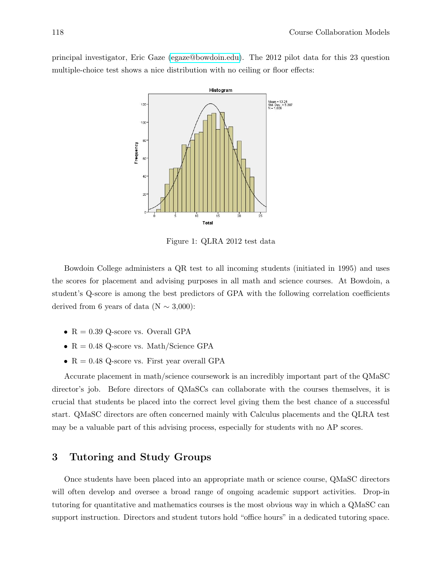principal investigator, Eric Gaze [\(egaze@bowdoin.edu\)](mailto:egaze@bowdoin.edu). The 2012 pilot data for this 23 question multiple-choice test shows a nice distribution with no ceiling or floor effects:



Figure 1: QLRA 2012 test data

Bowdoin College administers a QR test to all incoming students (initiated in 1995) and uses the scores for placement and advising purposes in all math and science courses. At Bowdoin, a student's Q-score is among the best predictors of GPA with the following correlation coefficients derived from 6 years of data (N  $\sim$  3,000):

- $R = 0.39$  Q-score vs. Overall GPA
- $R = 0.48$  Q-score vs. Math/Science GPA
- $R = 0.48$  Q-score vs. First year overall GPA

Accurate placement in math/science coursework is an incredibly important part of the QMaSC director's job. Before directors of QMaSCs can collaborate with the courses themselves, it is crucial that students be placed into the correct level giving them the best chance of a successful start. QMaSC directors are often concerned mainly with Calculus placements and the QLRA test may be a valuable part of this advising process, especially for students with no AP scores.

### 3 Tutoring and Study Groups

Once students have been placed into an appropriate math or science course, QMaSC directors will often develop and oversee a broad range of ongoing academic support activities. Drop-in tutoring for quantitative and mathematics courses is the most obvious way in which a QMaSC can support instruction. Directors and student tutors hold "office hours" in a dedicated tutoring space.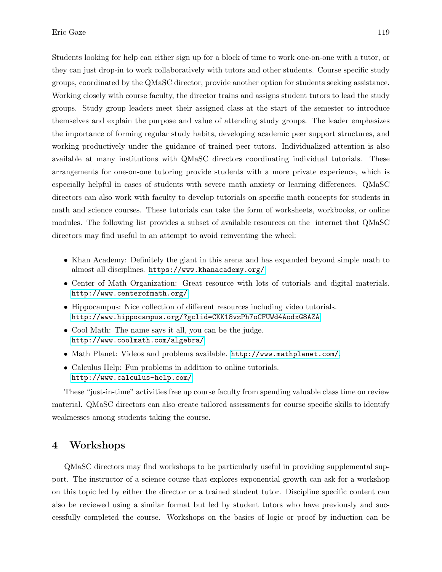Students looking for help can either sign up for a block of time to work one-on-one with a tutor, or they can just drop-in to work collaboratively with tutors and other students. Course specific study groups, coordinated by the QMaSC director, provide another option for students seeking assistance. Working closely with course faculty, the director trains and assigns student tutors to lead the study groups. Study group leaders meet their assigned class at the start of the semester to introduce themselves and explain the purpose and value of attending study groups. The leader emphasizes the importance of forming regular study habits, developing academic peer support structures, and working productively under the guidance of trained peer tutors. Individualized attention is also available at many institutions with QMaSC directors coordinating individual tutorials. These arrangements for one-on-one tutoring provide students with a more private experience, which is especially helpful in cases of students with severe math anxiety or learning differences. QMaSC directors can also work with faculty to develop tutorials on specific math concepts for students in math and science courses. These tutorials can take the form of worksheets, workbooks, or online modules. The following list provides a subset of available resources on the internet that QMaSC directors may find useful in an attempt to avoid reinventing the wheel:

- Khan Academy: Definitely the giant in this arena and has expanded beyond simple math to almost all disciplines. <https://www.khanacademy.org/>
- Center of Math Organization: Great resource with lots of tutorials and digital materials. <http://www.centerofmath.org/>
- Hippocampus: Nice collection of different resources including video tutorials. <http://www.hippocampus.org/?gclid=CKK18vzPh7oCFUWd4AodxG8AZA>
- Cool Math: The name says it all, you can be the judge. <http://www.coolmath.com/algebra/>
- Math Planet: Videos and problems available. <http://www.mathplanet.com/>.
- Calculus Help: Fun problems in addition to online tutorials. <http://www.calculus-help.com/>

These "just-in-time" activities free up course faculty from spending valuable class time on review material. QMaSC directors can also create tailored assessments for course specific skills to identify weaknesses among students taking the course.

### 4 Workshops

QMaSC directors may find workshops to be particularly useful in providing supplemental support. The instructor of a science course that explores exponential growth can ask for a workshop on this topic led by either the director or a trained student tutor. Discipline specific content can also be reviewed using a similar format but led by student tutors who have previously and successfully completed the course. Workshops on the basics of logic or proof by induction can be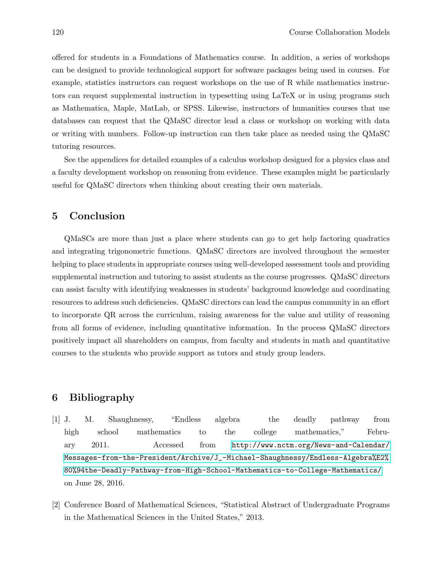offered for students in a Foundations of Mathematics course. In addition, a series of workshops can be designed to provide technological support for software packages being used in courses. For example, statistics instructors can request workshops on the use of R while mathematics instructors can request supplemental instruction in typesetting using LaTeX or in using programs such as Mathematica, Maple, MatLab, or SPSS. Likewise, instructors of humanities courses that use databases can request that the QMaSC director lead a class or workshop on working with data or writing with numbers. Follow-up instruction can then take place as needed using the QMaSC tutoring resources.

See the appendices for detailed examples of a calculus workshop designed for a physics class and a faculty development workshop on reasoning from evidence. These examples might be particularly useful for QMaSC directors when thinking about creating their own materials.

#### 5 Conclusion

QMaSCs are more than just a place where students can go to get help factoring quadratics and integrating trigonometric functions. QMaSC directors are involved throughout the semester helping to place students in appropriate courses using well-developed assessment tools and providing supplemental instruction and tutoring to assist students as the course progresses. QMaSC directors can assist faculty with identifying weaknesses in students' background knowledge and coordinating resources to address such deficiencies. QMaSC directors can lead the campus community in an effort to incorporate QR across the curriculum, raising awareness for the value and utility of reasoning from all forms of evidence, including quantitative information. In the process QMaSC directors positively impact all shareholders on campus, from faculty and students in math and quantitative courses to the students who provide support as tutors and study group leaders.

#### 6 Bibliography

- [1] J. M. Shaughnessy, "Endless algebra the deadly pathway from high school mathematics to the college mathematics," February 2011. Accessed from [http://www.nctm.org/News-and-Calendar/](http://www.nctm.org/News-and-Calendar/Messages-from-the-President/Archive/J_-Michael-Shaughnessy/Endless-Algebra%E2%80%94the-Deadly-Pathway-from-High-School-Mathematics-to-College-Mathematics/) [Messages-from-the-President/Archive/J\\_-Michael-Shaughnessy/Endless-Algebra%E2%](http://www.nctm.org/News-and-Calendar/Messages-from-the-President/Archive/J_-Michael-Shaughnessy/Endless-Algebra%E2%80%94the-Deadly-Pathway-from-High-School-Mathematics-to-College-Mathematics/) [80%94the-Deadly-Pathway-from-High-School-Mathematics-to-College-Mathematics/](http://www.nctm.org/News-and-Calendar/Messages-from-the-President/Archive/J_-Michael-Shaughnessy/Endless-Algebra%E2%80%94the-Deadly-Pathway-from-High-School-Mathematics-to-College-Mathematics/) on June 28, 2016.
- [2] Conference Board of Mathematical Sciences, "Statistical Abstract of Undergraduate Programs in the Mathematical Sciences in the United States," 2013.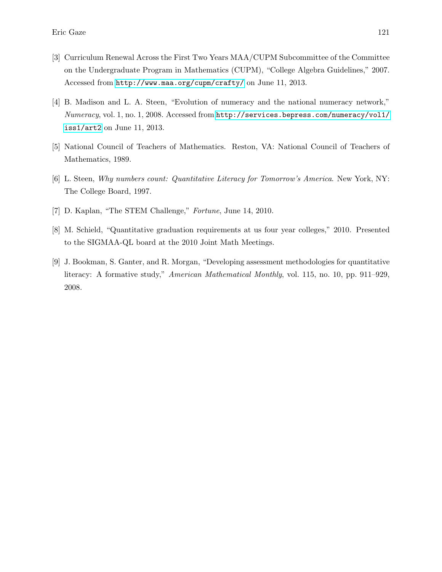- [3] Curriculum Renewal Across the First Two Years MAA/CUPM Subcommittee of the Committee on the Undergraduate Program in Mathematics (CUPM), "College Algebra Guidelines," 2007. Accessed from <http://www.maa.org/cupm/crafty/> on June 11, 2013.
- [4] B. Madison and L. A. Steen, "Evolution of numeracy and the national numeracy network," Numeracy, vol. 1, no. 1, 2008. Accessed from [http://services.bepress.com/numeracy/vol1/](http://services.bepress.com/numeracy/vol1/iss1/art2) [iss1/art2](http://services.bepress.com/numeracy/vol1/iss1/art2) on June 11, 2013.
- [5] National Council of Teachers of Mathematics. Reston, VA: National Council of Teachers of Mathematics, 1989.
- [6] L. Steen, Why numbers count: Quantitative Literacy for Tomorrow's America. New York, NY: The College Board, 1997.
- [7] D. Kaplan, "The STEM Challenge," Fortune, June 14, 2010.
- [8] M. Schield, "Quantitative graduation requirements at us four year colleges," 2010. Presented to the SIGMAA-QL board at the 2010 Joint Math Meetings.
- [9] J. Bookman, S. Ganter, and R. Morgan, "Developing assessment methodologies for quantitative literacy: A formative study," American Mathematical Monthly, vol. 115, no. 10, pp. 911–929, 2008.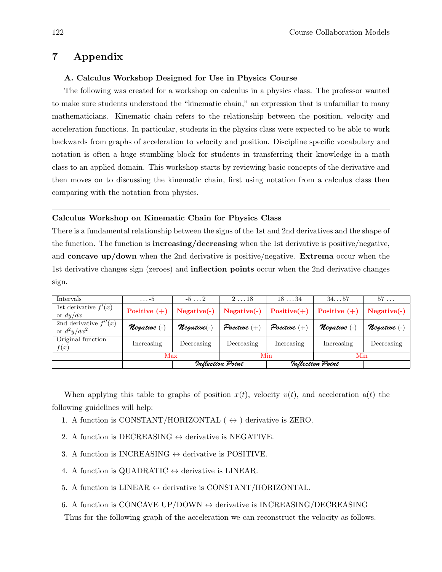# 7 Appendix

#### A. Calculus Workshop Designed for Use in Physics Course

The following was created for a workshop on calculus in a physics class. The professor wanted to make sure students understood the "kinematic chain," an expression that is unfamiliar to many mathematicians. Kinematic chain refers to the relationship between the position, velocity and acceleration functions. In particular, students in the physics class were expected to be able to work backwards from graphs of acceleration to velocity and position. Discipline specific vocabulary and notation is often a huge stumbling block for students in transferring their knowledge in a math class to an applied domain. This workshop starts by reviewing basic concepts of the derivative and then moves on to discussing the kinematic chain, first using notation from a calculus class then comparing with the notation from physics.

#### Calculus Workshop on Kinematic Chain for Physics Class

There is a fundamental relationship between the signs of the 1st and 2nd derivatives and the shape of the function. The function is **increasing/decreasing** when the 1st derivative is positive/negative, and concave up/down when the 2nd derivative is positive/negative. Extrema occur when the 1st derivative changes sign (zeroes) and inflection points occur when the 2nd derivative changes sign.

| <b>Intervals</b>                          | $\ldots -5$         | $-5 \ldots 2$               | $2 \ldots 18$  | $18 \ldots 34$   | 34. 57         | $57 \ldots$          |
|-------------------------------------------|---------------------|-----------------------------|----------------|------------------|----------------|----------------------|
| 1st derivative $f'(x)$<br>or $dy/dx$      | Positive $(+)$      | $Negative(-)$               | $Negative(-)$  | $Positive(+)$    | Positive $(+)$ | $Negative(-)$        |
| 2nd derivative $f''(x)$<br>or $d^2y/dx^2$ | <i>Megative</i> (-) | $\eta$ egative $(\text{-})$ | Positive $(+)$ | Positive $(+)$   | Negative (-)   | <b>N</b> egative (-) |
| Original function<br>f(x)                 | Increasing          | Decreasing                  | Decreasing     | Increasing       | Increasing     | Decreasing           |
|                                           | Max                 |                             | Min            |                  | Min            |                      |
|                                           |                     | Inflection Point            |                | Inflection Point |                |                      |

When applying this table to graphs of position  $x(t)$ , velocity  $v(t)$ , and acceleration  $a(t)$  the following guidelines will help:

- 1. A function is CONSTANT/HORIZONTAL ( $\leftrightarrow$ ) derivative is ZERO.
- 2. A function is DECREASING  $\leftrightarrow$  derivative is NEGATIVE.
- 3. A function is INCREASING  $\leftrightarrow$  derivative is POSITIVE.
- 4. A function is QUADRATIC  $\leftrightarrow$  derivative is LINEAR.
- 5. A function is LINEAR  $\leftrightarrow$  derivative is CONSTANT/HORIZONTAL.
- 6. A function is CONCAVE UP/DOWN  $\leftrightarrow$  derivative is INCREASING/DECREASING

Thus for the following graph of the acceleration we can reconstruct the velocity as follows.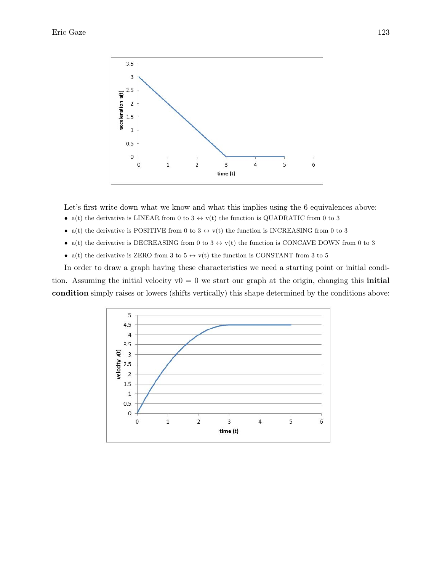

Let's first write down what we know and what this implies using the 6 equivalences above:

- a(t) the derivative is LINEAR from 0 to 3  $\leftrightarrow$  v(t) the function is QUADRATIC from 0 to 3
- a(t) the derivative is POSITIVE from 0 to 3  $\leftrightarrow$  v(t) the function is INCREASING from 0 to 3
- a(t) the derivative is DECREASING from 0 to 3  $\leftrightarrow$  v(t) the function is CONCAVE DOWN from 0 to 3
- a(t) the derivative is ZERO from 3 to 5  $\leftrightarrow$  v(t) the function is CONSTANT from 3 to 5

In order to draw a graph having these characteristics we need a starting point or initial condition. Assuming the initial velocity  $v0 = 0$  we start our graph at the origin, changing this **initial** condition simply raises or lowers (shifts vertically) this shape determined by the conditions above: